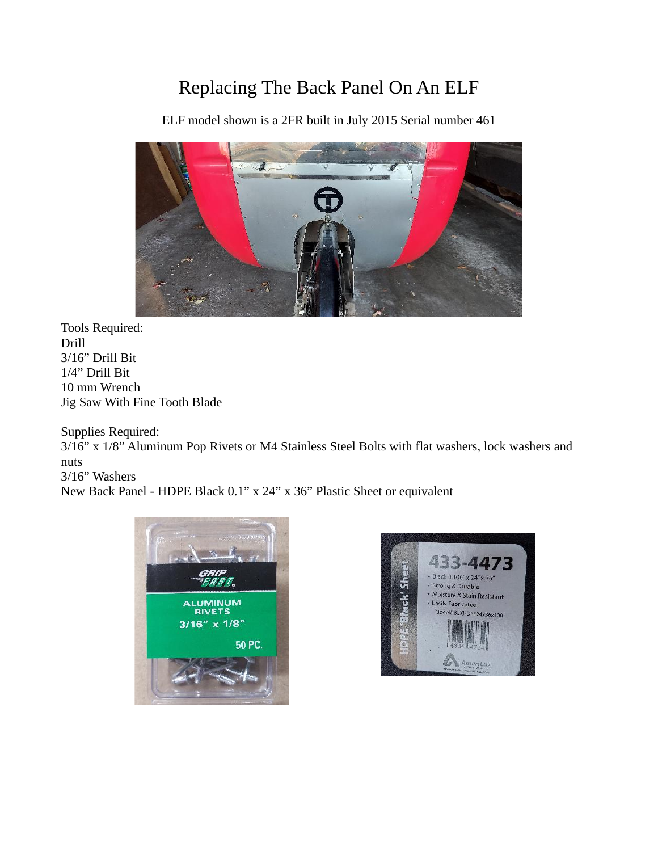## Replacing The Back Panel On An ELF

ELF model shown is a 2FR built in July 2015 Serial number 461



Tools Required: Drill 3/16" Drill Bit 1/4" Drill Bit 10 mm Wrench Jig Saw With Fine Tooth Blade

Supplies Required:

3/16" x 1/8" Aluminum Pop Rivets or M4 Stainless Steel Bolts with flat washers, lock washers and nuts 3/16" Washers

New Back Panel - HDPE Black 0.1" x 24" x 36" Plastic Sheet or equivalent



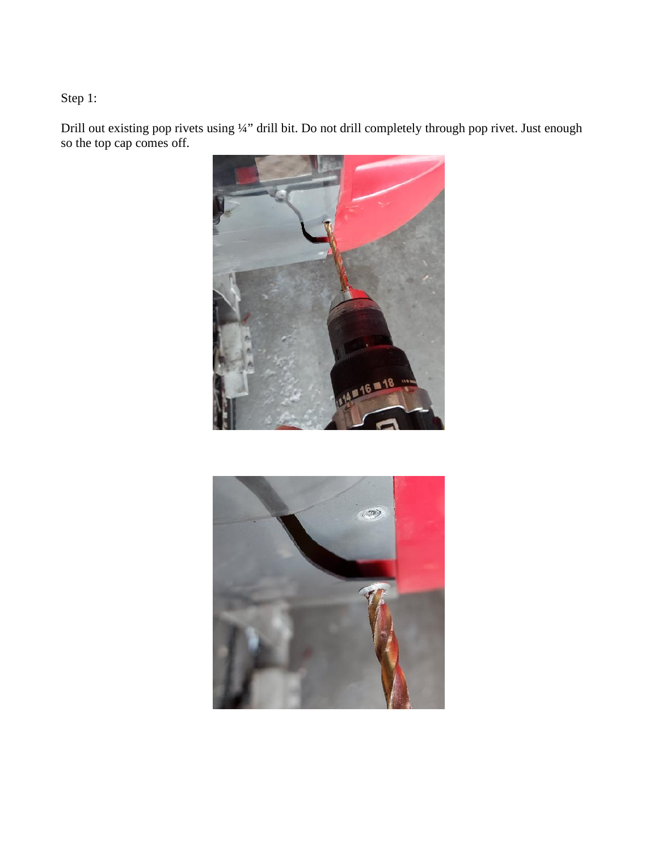Step 1:

Drill out existing pop rivets using ¼" drill bit. Do not drill completely through pop rivet. Just enough so the top cap comes off.



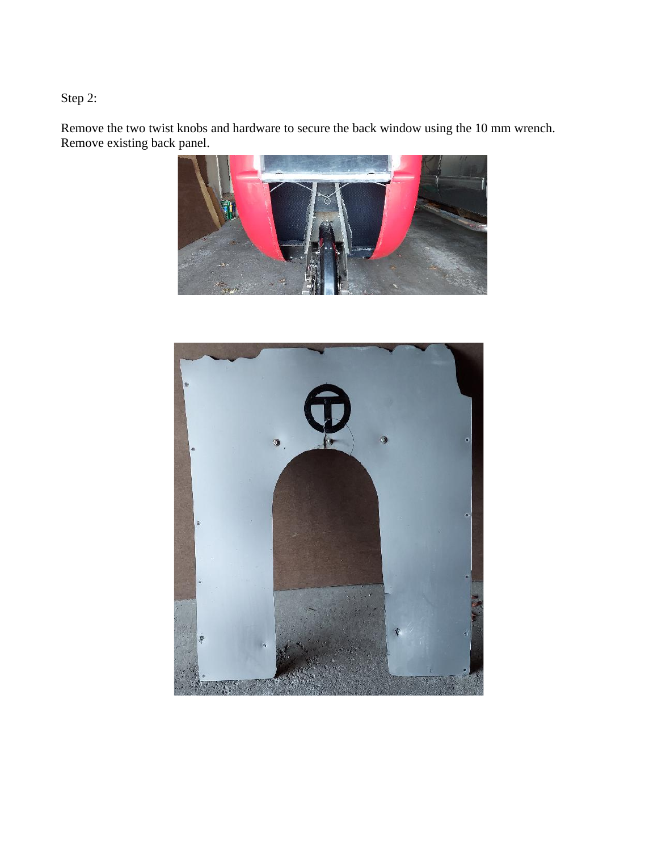Step 2:

Remove the two twist knobs and hardware to secure the back window using the 10 mm wrench. Remove existing back panel.



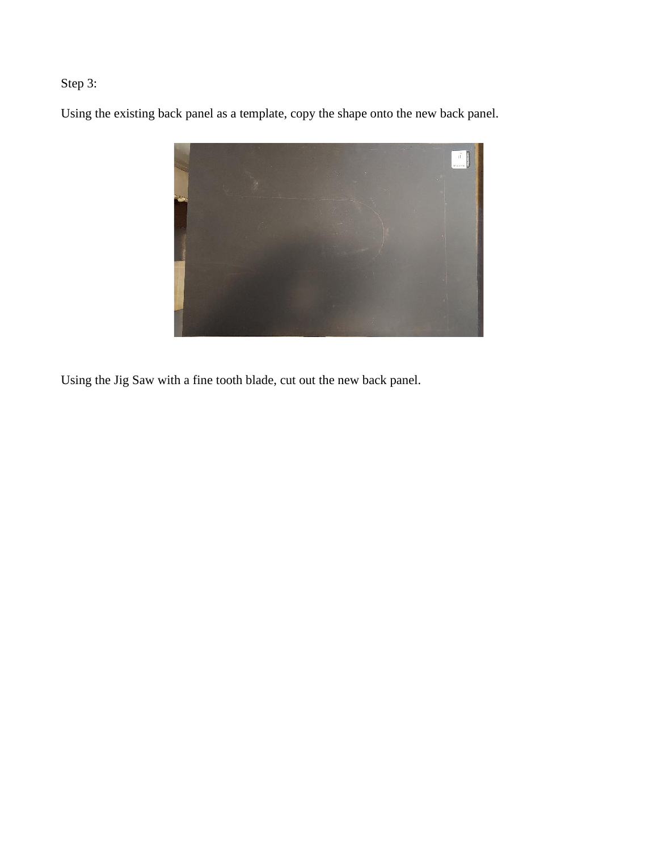## Step 3:

Using the existing back panel as a template, copy the shape onto the new back panel.



Using the Jig Saw with a fine tooth blade, cut out the new back panel.